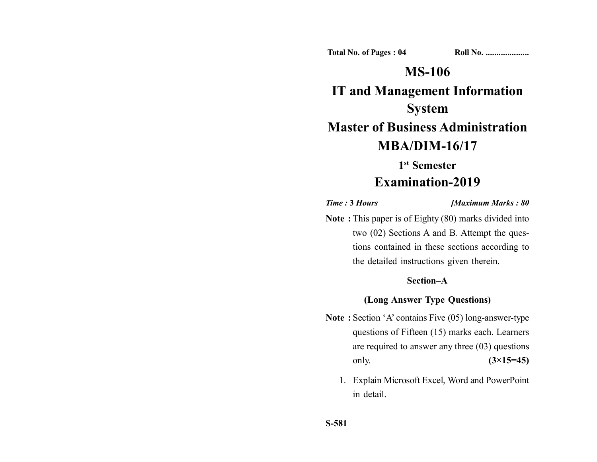**Total No. of Pages : 04 Roll No. ...................** 

## **MS-106**

# **IT and Management Information System Master of Business Administration**

## **MBA/DIM-16/17**

**1st Semester**

### **Examination-2019**

*Time :* **3** *Hours [Maximum Marks : 80*

**Note :** This paper is of Eighty (80) marks divided into two (02) Sections A and B. Attempt the questions contained in these sections according to the detailed instructions given therein.

#### **Section–A**

#### **(Long Answer Type Questions)**

- **Note :** Section 'A' contains Five (05) long-answer-type questions of Fifteen (15) marks each. Learners are required to answer any three (03) questions only. **(3×15=45)**
	- 1. Explain Microsoft Excel, Word and PowerPoint in detail.